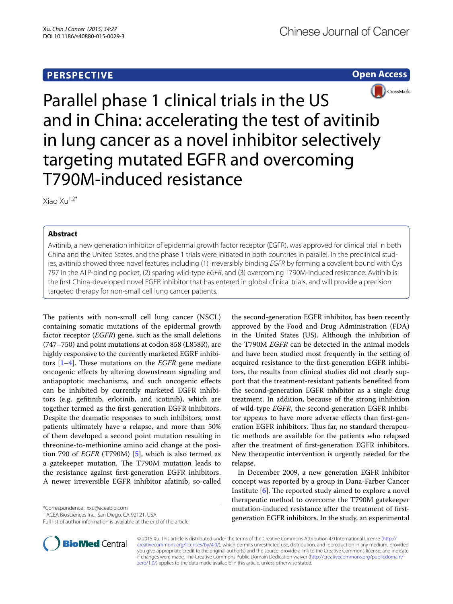# **PERSPECTIVE**

**Open Access**



Parallel phase 1 clinical trials in the US and in China: accelerating the test of avitinib in lung cancer as a novel inhibitor selectively targeting mutated EGFR and overcoming T790M-induced resistance

Xiao Xu $1,2^*$ 

## **Abstract**

Avitinib, a new generation inhibitor of epidermal growth factor receptor (EGFR), was approved for clinical trial in both China and the United States, and the phase 1 trials were initiated in both countries in parallel. In the preclinical studies, avitinib showed three novel features including (1) irreversibly binding *EGFR* by forming a covalent bound with Cys 797 in the ATP-binding pocket, (2) sparing wild-type *EGFR*, and (3) overcoming T790M-induced resistance. Avitinib is the first China-developed novel EGFR inhibitor that has entered in global clinical trials, and will provide a precision targeted therapy for non-small cell lung cancer patients.

The patients with non-small cell lung cancer (NSCL) containing somatic mutations of the epidermal growth factor receptor (*EGFR*) gene, such as the small deletions (747–750) and point mutations at codon 858 (L858R), are highly responsive to the currently marketed EGRF inhibitors [\[1](#page-2-0)[–4](#page-2-1)]. These mutations on the *EGFR* gene mediate oncogenic effects by altering downstream signaling and antiapoptotic mechanisms, and such oncogenic effects can be inhibited by currently marketed EGFR inhibitors (e.g. gefitinib, erlotinib, and icotinib), which are together termed as the first-generation EGFR inhibitors. Despite the dramatic responses to such inhibitors, most patients ultimately have a relapse, and more than 50% of them developed a second point mutation resulting in threonine-to-methionine amino acid change at the position 790 of *EGFR* (T790M) [[5](#page-2-2)], which is also termed as a gatekeeper mutation. The T790M mutation leads to the resistance against first-generation EGFR inhibitors. A newer irreversible EGFR inhibitor afatinib, so-called

\*Correspondence: xxu@aceabio.com

**BioMed Central** 



the second-generation EGFR inhibitor, has been recently

In December 2009, a new generation EGFR inhibitor concept was reported by a group in Dana-Farber Cancer Institute [[6\]](#page-2-3). The reported study aimed to explore a novel therapeutic method to overcome the T790M gatekeeper mutation-induced resistance after the treatment of firstgeneration EGFR inhibitors. In the study, an experimental

© 2015 Xu. This article is distributed under the terms of the Creative Commons Attribution 4.0 International License [\(http://](http://creativecommons.org/licenses/by/4.0/) [creativecommons.org/licenses/by/4.0/](http://creativecommons.org/licenses/by/4.0/)), which permits unrestricted use, distribution, and reproduction in any medium, provided you give appropriate credit to the original author(s) and the source, provide a link to the Creative Commons license, and indicate if changes were made. The Creative Commons Public Domain Dedication waiver ([http://creativecommons.org/publicdomain/](http://creativecommons.org/publicdomain/zero/1.0/) [zero/1.0/](http://creativecommons.org/publicdomain/zero/1.0/)) applies to the data made available in this article, unless otherwise stated.

<sup>&</sup>lt;sup>1</sup> ACEA Biosciences Inc., San Diego, CA 92121, USA

Full list of author information is available at the end of the article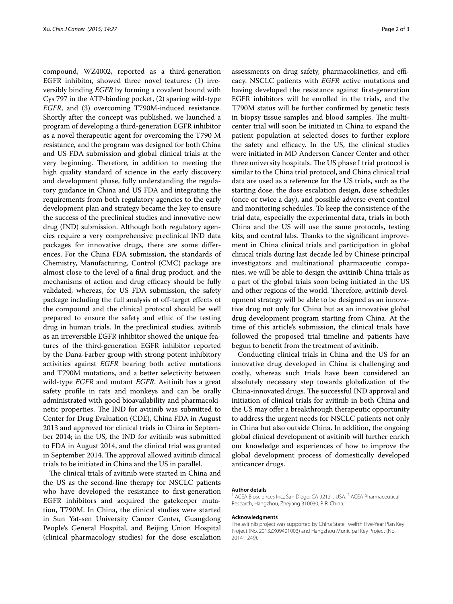compound, WZ4002, reported as a third-generation EGFR inhibitor, showed three novel features: (1) irreversibly binding *EGFR* by forming a covalent bound with Cys 797 in the ATP-binding pocket, (2) sparing wild-type *EGFR*, and (3) overcoming T790M-induced resistance. Shortly after the concept was published, we launched a program of developing a third-generation EGFR inhibitor as a novel therapeutic agent for overcoming the T790 M resistance, and the program was designed for both China and US FDA submission and global clinical trials at the very beginning. Therefore, in addition to meeting the high quality standard of science in the early discovery and development phase, fully understanding the regulatory guidance in China and US FDA and integrating the requirements from both regulatory agencies to the early development plan and strategy became the key to ensure the success of the preclinical studies and innovative new drug (IND) submission. Although both regulatory agencies require a very comprehensive preclinical IND data packages for innovative drugs, there are some differences. For the China FDA submission, the standards of Chemistry, Manufacturing, Control (CMC) package are almost close to the level of a final drug product, and the mechanisms of action and drug efficacy should be fully validated, whereas, for US FDA submission, the safety package including the full analysis of off-target effects of the compound and the clinical protocol should be well prepared to ensure the safety and ethic of the testing drug in human trials. In the preclinical studies, avitinib as an irreversible EGFR inhibitor showed the unique features of the third-generation EGFR inhibitor reported by the Dana-Farber group with strong potent inhibitory activities against *EGFR* bearing both active mutations and T790M mutations, and a better selectivity between wild-type *EGFR* and mutant *EGFR*. Avitinib has a great safety profile in rats and monkeys and can be orally administrated with good bioavailability and pharmacokinetic properties. The IND for avitinib was submitted to Center for Drug Evaluation (CDE), China FDA in August 2013 and approved for clinical trials in China in September 2014; in the US, the IND for avitinib was submitted to FDA in August 2014, and the clinical trial was granted in September 2014. The approval allowed avitinib clinical trials to be initiated in China and the US in parallel.

The clinical trials of avitinib were started in China and the US as the second-line therapy for NSCLC patients who have developed the resistance to first-generation EGFR inhibitors and acquired the gatekeeper mutation, T790M. In China, the clinical studies were started in Sun Yat-sen University Cancer Center, Guangdong People's General Hospital, and Beijing Union Hospital (clinical pharmacology studies) for the dose escalation

assessments on drug safety, pharmacokinetics, and efficacy. NSCLC patients with *EGFR* active mutations and having developed the resistance against first-generation EGFR inhibitors will be enrolled in the trials, and the T790M status will be further confirmed by genetic tests in biopsy tissue samples and blood samples. The multicenter trial will soon be initiated in China to expand the patient population at selected doses to further explore the safety and efficacy. In the US, the clinical studies were initiated in MD Anderson Cancer Center and other three university hospitals. The US phase I trial protocol is similar to the China trial protocol, and China clinical trial data are used as a reference for the US trials, such as the starting dose, the dose escalation design, dose schedules (once or twice a day), and possible adverse event control and monitoring schedules. To keep the consistence of the trial data, especially the experimental data, trials in both China and the US will use the same protocols, testing kits, and central labs. Thanks to the significant improvement in China clinical trials and participation in global clinical trials during last decade led by Chinese principal investigators and multinational pharmaceutic companies, we will be able to design the avitinib China trials as a part of the global trials soon being initiated in the US and other regions of the world. Therefore, avitinib development strategy will be able to be designed as an innovative drug not only for China but as an innovative global drug development program starting from China. At the time of this article's submission, the clinical trials have followed the proposed trial timeline and patients have begun to benefit from the treatment of avitinib.

Conducting clinical trials in China and the US for an innovative drug developed in China is challenging and costly, whereas such trials have been considered an absolutely necessary step towards globalization of the China-innovated drugs. The successful IND approval and initiation of clinical trials for avitinib in both China and the US may offer a breakthrough therapeutic opportunity to address the urgent needs for NSCLC patients not only in China but also outside China. In addition, the ongoing global clinical development of avitinib will further enrich our knowledge and experiences of how to improve the global development process of domestically developed anticancer drugs.

#### **Author details**

<sup>1</sup> ACEA Biosciences Inc., San Diego, CA 92121, USA.<sup>2</sup> ACEA Pharmaceutical Research, Hangzhou, Zhejiang 310030, P. R. China.

#### **Acknowledgments**

The avitinib project was supported by China State Twelfth Five-Year Plan Key Project (No. 2013ZX09401003) and Hangzhou Municipal Key Project (No. 2014-1249).